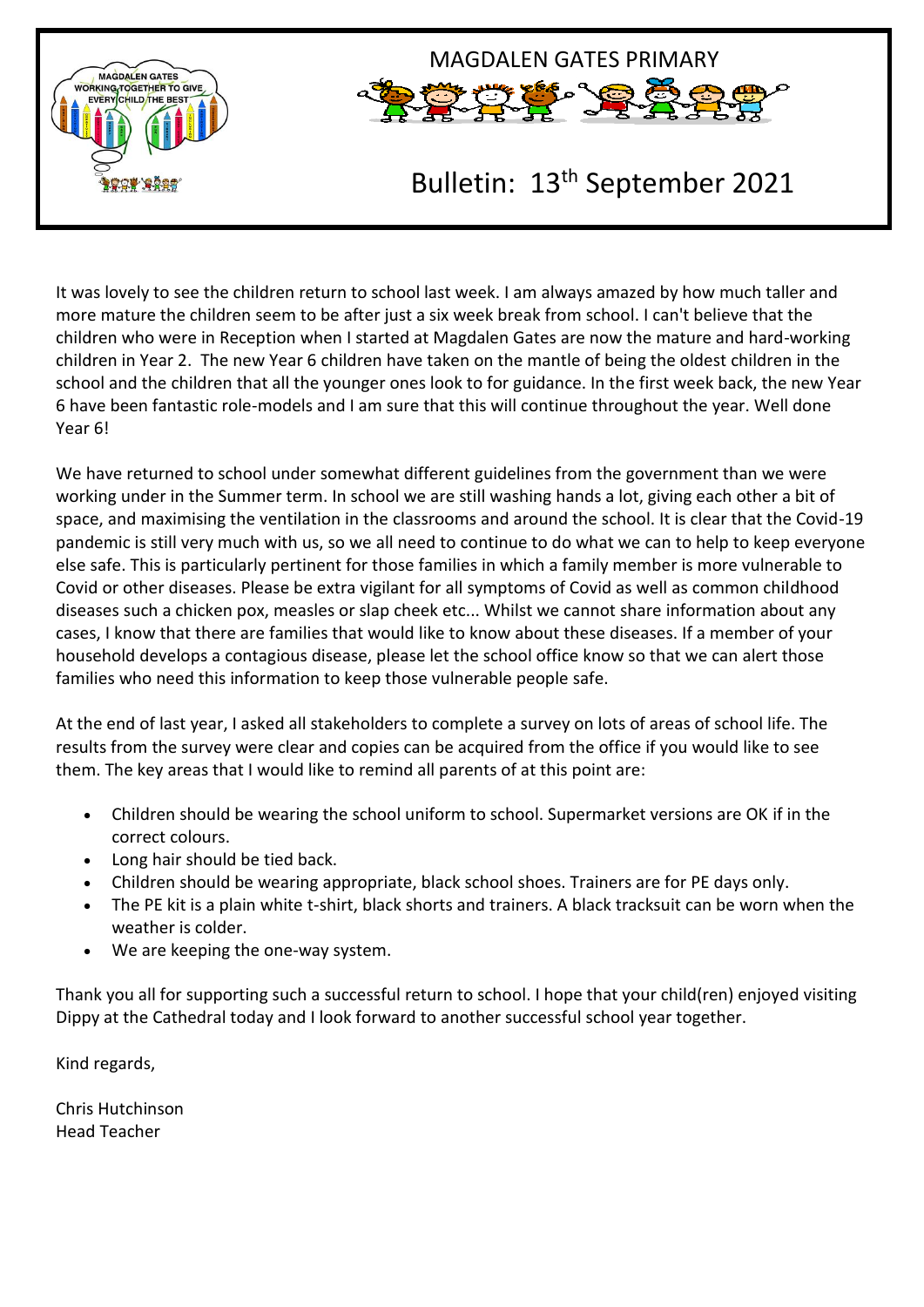



# Bulletin: 13th September 2021

It was lovely to see the children return to school last week. I am always amazed by how much taller and more mature the children seem to be after just a six week break from school. I can't believe that the children who were in Reception when I started at Magdalen Gates are now the mature and hard-working children in Year 2. The new Year 6 children have taken on the mantle of being the oldest children in the school and the children that all the younger ones look to for guidance. In the first week back, the new Year 6 have been fantastic role-models and I am sure that this will continue throughout the year. Well done Year 6!

We have returned to school under somewhat different guidelines from the government than we were working under in the Summer term. In school we are still washing hands a lot, giving each other a bit of space, and maximising the ventilation in the classrooms and around the school. It is clear that the Covid-19 pandemic is still very much with us, so we all need to continue to do what we can to help to keep everyone else safe. This is particularly pertinent for those families in which a family member is more vulnerable to Covid or other diseases. Please be extra vigilant for all symptoms of Covid as well as common childhood diseases such a chicken pox, measles or slap cheek etc... Whilst we cannot share information about any cases, I know that there are families that would like to know about these diseases. If a member of your household develops a contagious disease, please let the school office know so that we can alert those families who need this information to keep those vulnerable people safe.

At the end of last year, I asked all stakeholders to complete a survey on lots of areas of school life. The results from the survey were clear and copies can be acquired from the office if you would like to see them. The key areas that I would like to remind all parents of at this point are:

- Children should be wearing the school uniform to school. Supermarket versions are OK if in the correct colours.
- Long hair should be tied back.
- Children should be wearing appropriate, black school shoes. Trainers are for PE days only.
- The PE kit is a plain white t-shirt, black shorts and trainers. A black tracksuit can be worn when the weather is colder.
- We are keeping the one-way system.

Thank you all for supporting such a successful return to school. I hope that your child(ren) enjoyed visiting Dippy at the Cathedral today and I look forward to another successful school year together.

Kind regards,

Chris Hutchinson Head Teacher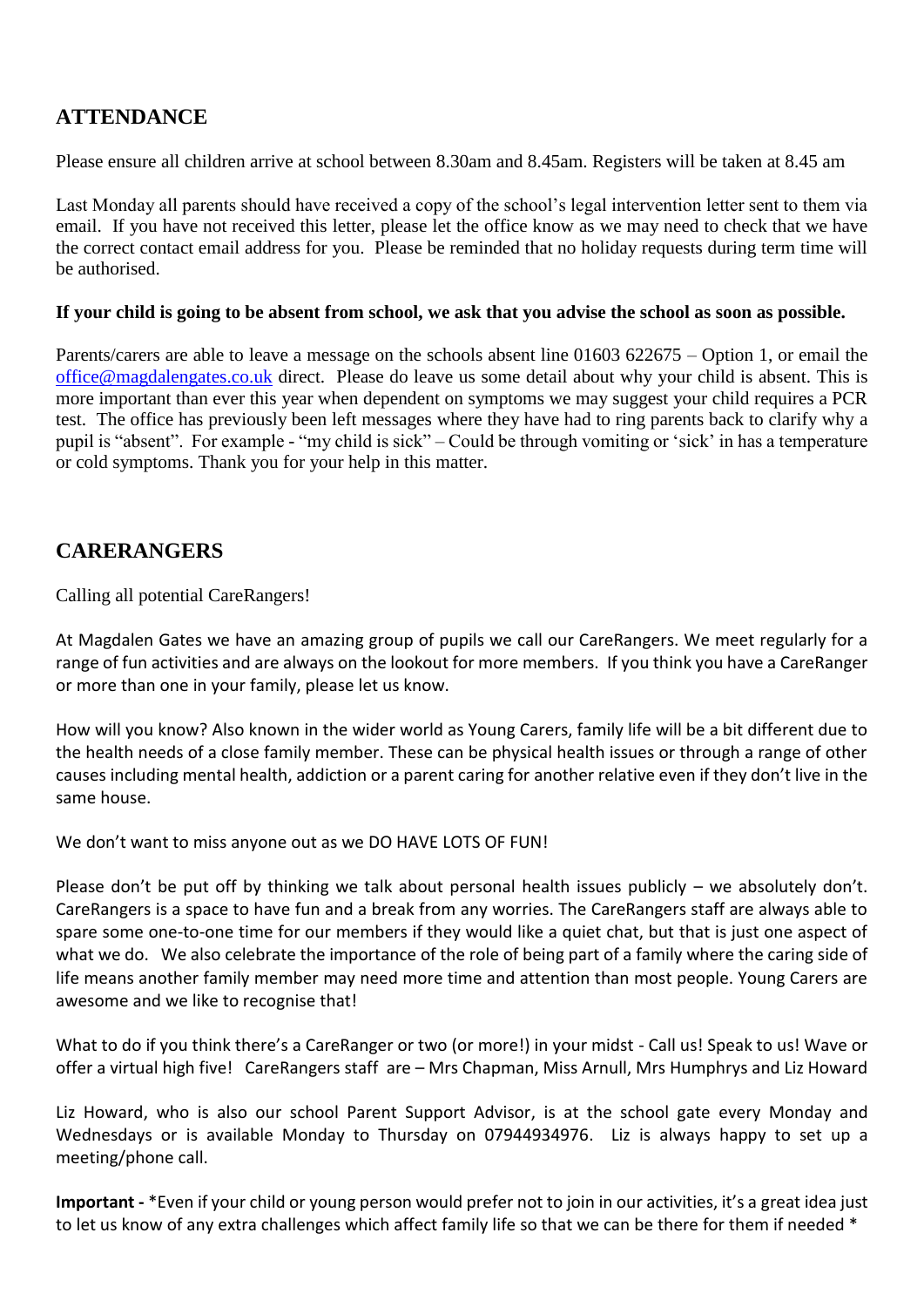## **ATTENDANCE**

Please ensure all children arrive at school between 8.30am and 8.45am. Registers will be taken at 8.45 am

Last Monday all parents should have received a copy of the school's legal intervention letter sent to them via email. If you have not received this letter, please let the office know as we may need to check that we have the correct contact email address for you. Please be reminded that no holiday requests during term time will be authorised.

#### **If your child is going to be absent from school, we ask that you advise the school as soon as possible.**

Parents/carers are able to leave a message on the schools absent line 01603 622675 – Option 1, or email the [office@magdalengates.co.uk](mailto:office@magdalengates.co.uk) direct. Please do leave us some detail about why your child is absent. This is more important than ever this year when dependent on symptoms we may suggest your child requires a PCR test. The office has previously been left messages where they have had to ring parents back to clarify why a pupil is "absent". For example - "my child is sick" – Could be through vomiting or 'sick' in has a temperature or cold symptoms. Thank you for your help in this matter.

## **CARERANGERS**

Calling all potential CareRangers!

At Magdalen Gates we have an amazing group of pupils we call our CareRangers. We meet regularly for a range of fun activities and are always on the lookout for more members. If you think you have a CareRanger or more than one in your family, please let us know.

How will you know? Also known in the wider world as Young Carers, family life will be a bit different due to the health needs of a close family member. These can be physical health issues or through a range of other causes including mental health, addiction or a parent caring for another relative even if they don't live in the same house.

We don't want to miss anyone out as we DO HAVE LOTS OF FUN!

Please don't be put off by thinking we talk about personal health issues publicly – we absolutely don't. CareRangers is a space to have fun and a break from any worries. The CareRangers staff are always able to spare some one-to-one time for our members if they would like a quiet chat, but that is just one aspect of what we do. We also celebrate the importance of the role of being part of a family where the caring side of life means another family member may need more time and attention than most people. Young Carers are awesome and we like to recognise that!

What to do if you think there's a CareRanger or two (or more!) in your midst - Call us! Speak to us! Wave or offer a virtual high five! CareRangers staff are – Mrs Chapman, Miss Arnull, Mrs Humphrys and Liz Howard

Liz Howard, who is also our school Parent Support Advisor, is at the school gate every Monday and Wednesdays or is available Monday to Thursday on 07944934976. Liz is always happy to set up a meeting/phone call.

**Important -** \*Even if your child or young person would prefer not to join in our activities, it's a great idea just to let us know of any extra challenges which affect family life so that we can be there for them if needed \*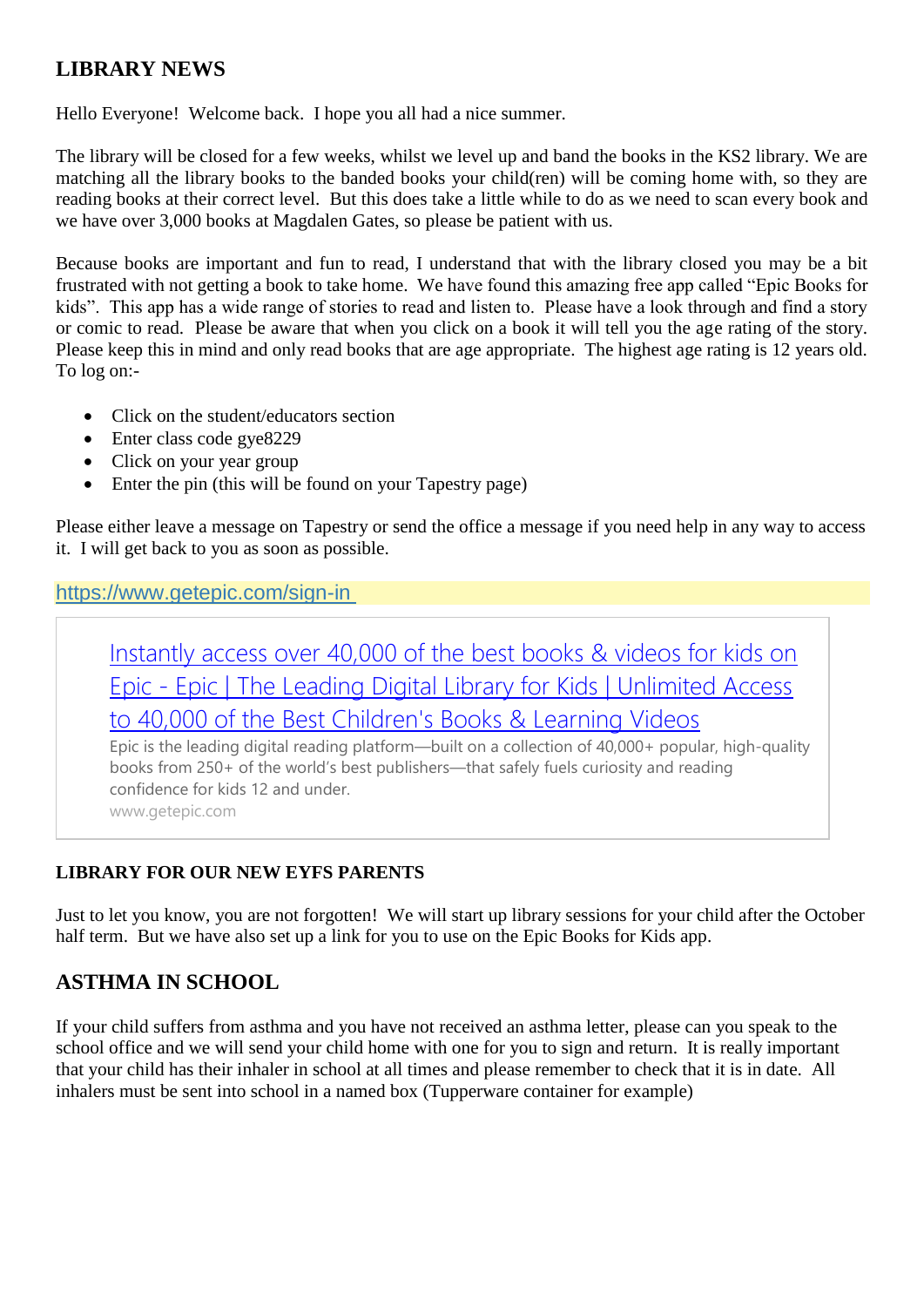## **LIBRARY NEWS**

Hello Everyone! Welcome back. I hope you all had a nice summer.

The library will be closed for a few weeks, whilst we level up and band the books in the KS2 library. We are matching all the library books to the banded books your child(ren) will be coming home with, so they are reading books at their correct level. But this does take a little while to do as we need to scan every book and we have over 3,000 books at Magdalen Gates, so please be patient with us.

Because books are important and fun to read, I understand that with the library closed you may be a bit frustrated with not getting a book to take home. We have found this amazing free app called "Epic Books for kids". This app has a wide range of stories to read and listen to. Please have a look through and find a story or comic to read. Please be aware that when you click on a book it will tell you the age rating of the story. Please keep this in mind and only read books that are age appropriate. The highest age rating is 12 years old. To log on:-

- Click on the student/educators section
- Enter class code gye8229
- Click on your year group
- Enter the pin (this will be found on your Tapestry page)

Please either leave a message on Tapestry or send the office a message if you need help in any way to access it. I will get back to you as soon as possible.

#### <https://www.getepic.com/sign-in>

[Instantly access over 40,000 of the best books & videos for kids on](https://www.getepic.com/sign-in)  Epic - [Epic | The Leading Digital Library for Kids | Unlimited Access](https://www.getepic.com/sign-in)  [to 40,000 of the Best Children's Books & Learning Videos](https://www.getepic.com/sign-in)

Epic is the leading digital reading platform—built on a collection of 40,000+ popular, high-quality books from 250+ of the world's best publishers—that safely fuels curiosity and reading confidence for kids 12 and under. www.getepic.com

#### **LIBRARY FOR OUR NEW EYFS PARENTS**

Just to let you know, you are not forgotten! We will start up library sessions for your child after the October half term. But we have also set up a link for you to use on the Epic Books for Kids app.

#### **ASTHMA IN SCHOOL**

If your child suffers from asthma and you have not received an asthma letter, please can you speak to the school office and we will send your child home with one for you to sign and return. It is really important that your child has their inhaler in school at all times and please remember to check that it is in date. All inhalers must be sent into school in a named box (Tupperware container for example)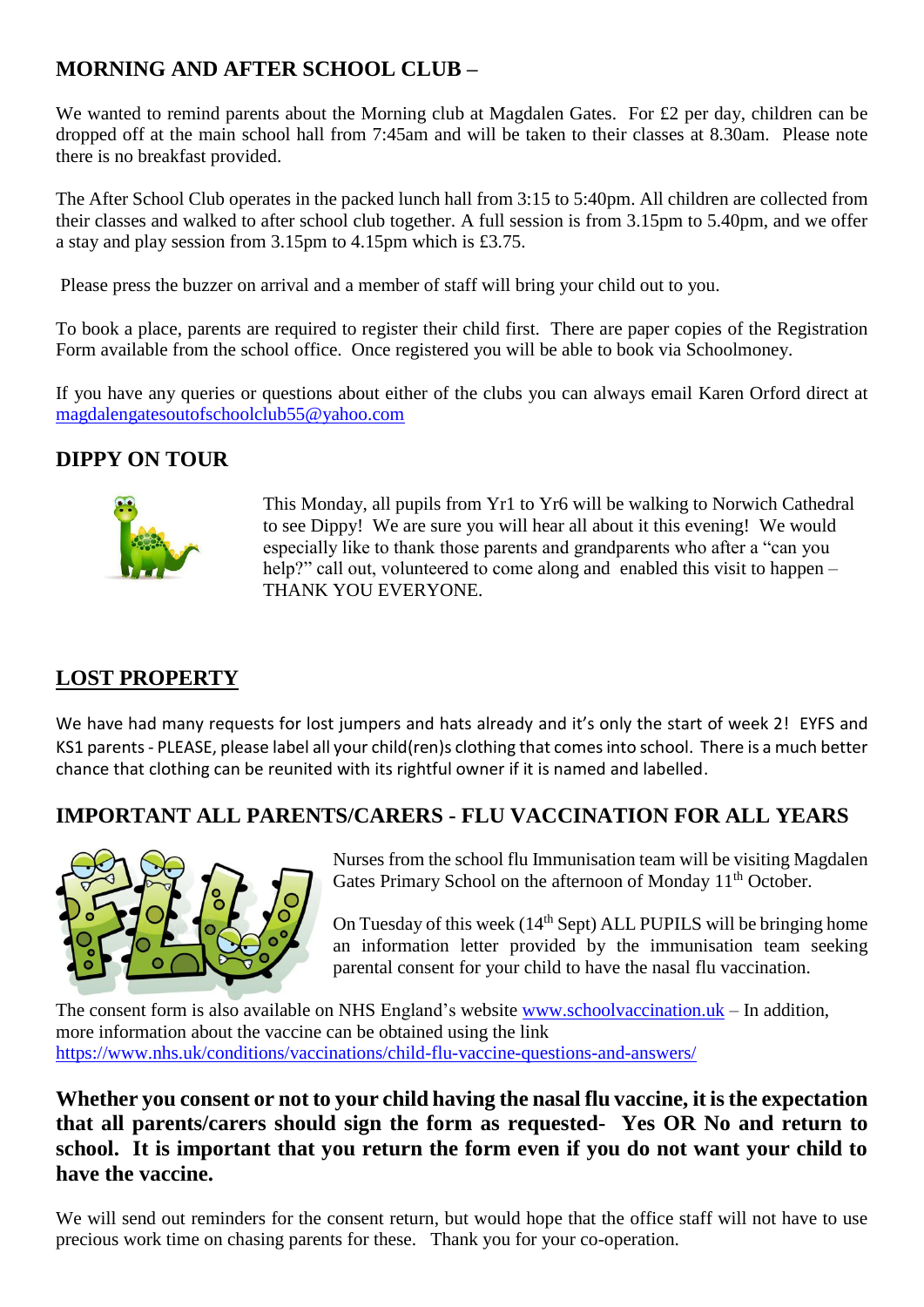# **MORNING AND AFTER SCHOOL CLUB –**

We wanted to remind parents about the Morning club at Magdalen Gates. For £2 per day, children can be dropped off at the main school hall from 7:45am and will be taken to their classes at 8.30am. Please note there is no breakfast provided.

The After School Club operates in the packed lunch hall from 3:15 to 5:40pm. All children are collected from their classes and walked to after school club together. A full session is from 3.15pm to 5.40pm, and we offer a stay and play session from 3.15pm to 4.15pm which is £3.75.

Please press the buzzer on arrival and a member of staff will bring your child out to you.

To book a place, parents are required to register their child first. There are paper copies of the Registration Form available from the school office. Once registered you will be able to book via Schoolmoney.

If you have any queries or questions about either of the clubs you can always email Karen Orford direct at [magdalengatesoutofschoolclub55@yahoo.com](mailto:magdalengatesoutofschoolclub55@yahoo.com)

## **DIPPY ON TOUR**



This Monday, all pupils from Yr1 to Yr6 will be walking to Norwich Cathedral to see Dippy! We are sure you will hear all about it this evening! We would especially like to thank those parents and grandparents who after a "can you help?" call out, volunteered to come along and enabled this visit to happen – THANK YOU EVERYONE.

# **LOST PROPERTY**

We have had many requests for lost jumpers and hats already and it's only the start of week 2! EYFS and KS1 parents - PLEASE, please label all your child(ren)s clothing that comes into school. There is a much better chance that clothing can be reunited with its rightful owner if it is named and labelled.

## **IMPORTANT ALL PARENTS/CARERS - FLU VACCINATION FOR ALL YEARS**



Nurses from the school flu Immunisation team will be visiting Magdalen Gates Primary School on the afternoon of Monday 11<sup>th</sup> October.

On Tuesday of this week  $(14<sup>th</sup>$  Sept) ALL PUPILS will be bringing home an information letter provided by the immunisation team seeking parental consent for your child to have the nasal flu vaccination.

The consent form is also available on NHS England's website [www.schoolvaccination.uk](http://www.schoolvaccination.uk/) – In addition, more information about the vaccine can be obtained using the link <https://www.nhs.uk/conditions/vaccinations/child-flu-vaccine-questions-and-answers/>

#### **Whether you consent or not to your child having the nasal flu vaccine, it is the expectation that all parents/carers should sign the form as requested- Yes OR No and return to school. It is important that you return the form even if you do not want your child to have the vaccine.**

We will send out reminders for the consent return, but would hope that the office staff will not have to use precious work time on chasing parents for these. Thank you for your co-operation.